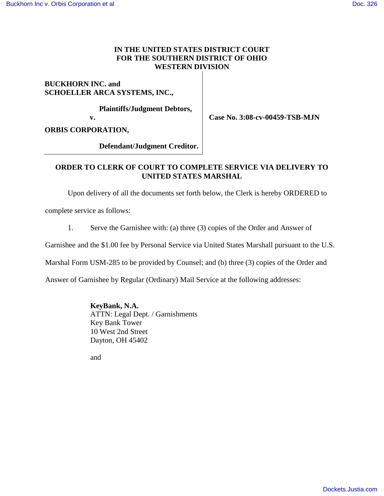## **IN THE UNITED STATES DISTRICT COURT FOR THE SOUTHERN DISTRICT OF OHIO WESTERN DIVISION**

# **BUCKHORN INC. and SCHOELLER ARCA SYSTEMS, INC.,**

 **Plaintiffs/Judgment Debtors,** 

**v.**

**Case No. 3:08-cv-00459-TSB-MJN**

**ORBIS CORPORATION,**

 **Defendant/Judgment Creditor.**

### **ORDER TO CLERK OF COURT TO COMPLETE SERVICE VIA DELIVERY TO UNITED STATES MARSHAL**

Upon delivery of all the documents set forth below, the Clerk is hereby ORDERED to

complete service as follows:

1. Serve the Garnishee with: (a) three (3) copies of the Order and Answer of

Garnishee and the \$1.00 fee by Personal Service via United States Marshall pursuant to the U.S.

Marshal Form USM-285 to be provided by Counsel; and (b) three (3) copies of the Order and

Answer of Garnishee by Regular (Ordinary) Mail Service at the following addresses:

**KeyBank, N.A.**

ATTN: Legal Dept. / Garnishments Key Bank Tower 10 West 2nd Street Dayton, OH 45402

and